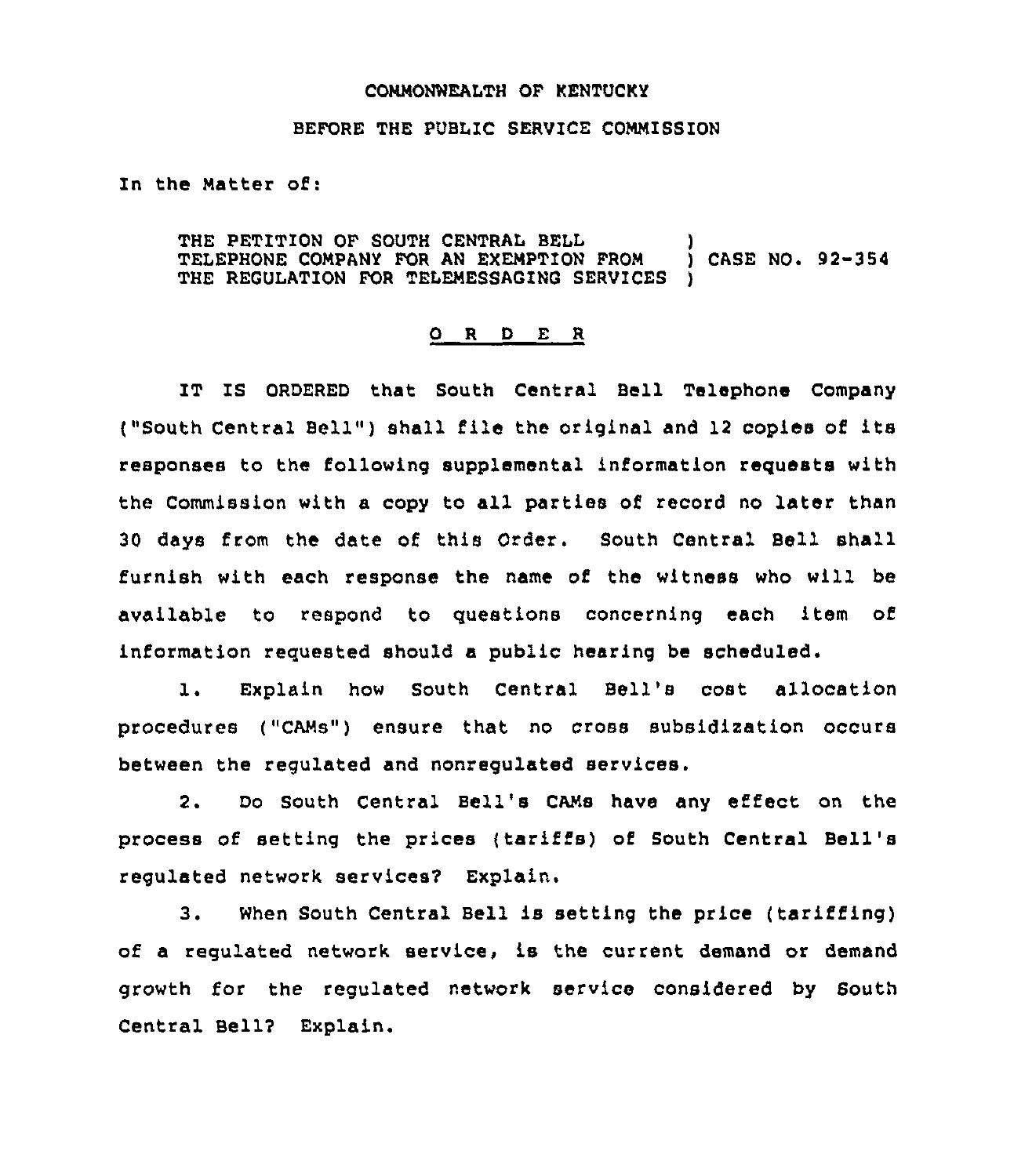## COMMONWEALTH OF KENTUCKY

## BEFORE THE PUBLIC SERVICE COMMISSION

In the Matter of:

THE PETITION OF SOUTH CENTRAL BELL (2008) (THE PETITION OF SOUTH CENTRAL BELL (2008) (THE PROM ) CASE NO. 22-354 TELEPHONE COMPANY FOR AN EXEMPTION FROM THE REGULATION FOR TELEMESSAGING SERVICES

## 0 <sup>R</sup> <sup>D</sup> E <sup>R</sup>

IT IS ORDERED that South Central Bell Telephone Company ("South Central Bell" ) shall file the original and <sup>12</sup> copies of its responses to the following supplemental information requests with the Commission with a copy to all parties of record no later than 30 days from the date of this Order. South Central Bell shall furnish with each response the name of the witness who will be available to respond to questions concerning each item of information requested should a public hearing be scheduled.

1. Explain how South Central Bell's cost allocation procedures ("CAMs") ensure that no cross subsidization occurs between the regulated and nonregulated services.

2. Do South Central Bell's CAMs have any effect on the process of setting the prices (tariffs) of South Central Bell' regulated network services2 Explain,

3. When South Central Bell is setting the price (tariffing) of a regulated network service, is the current demand or demand growth for the regulated network service considered by South Central Be117 Explain.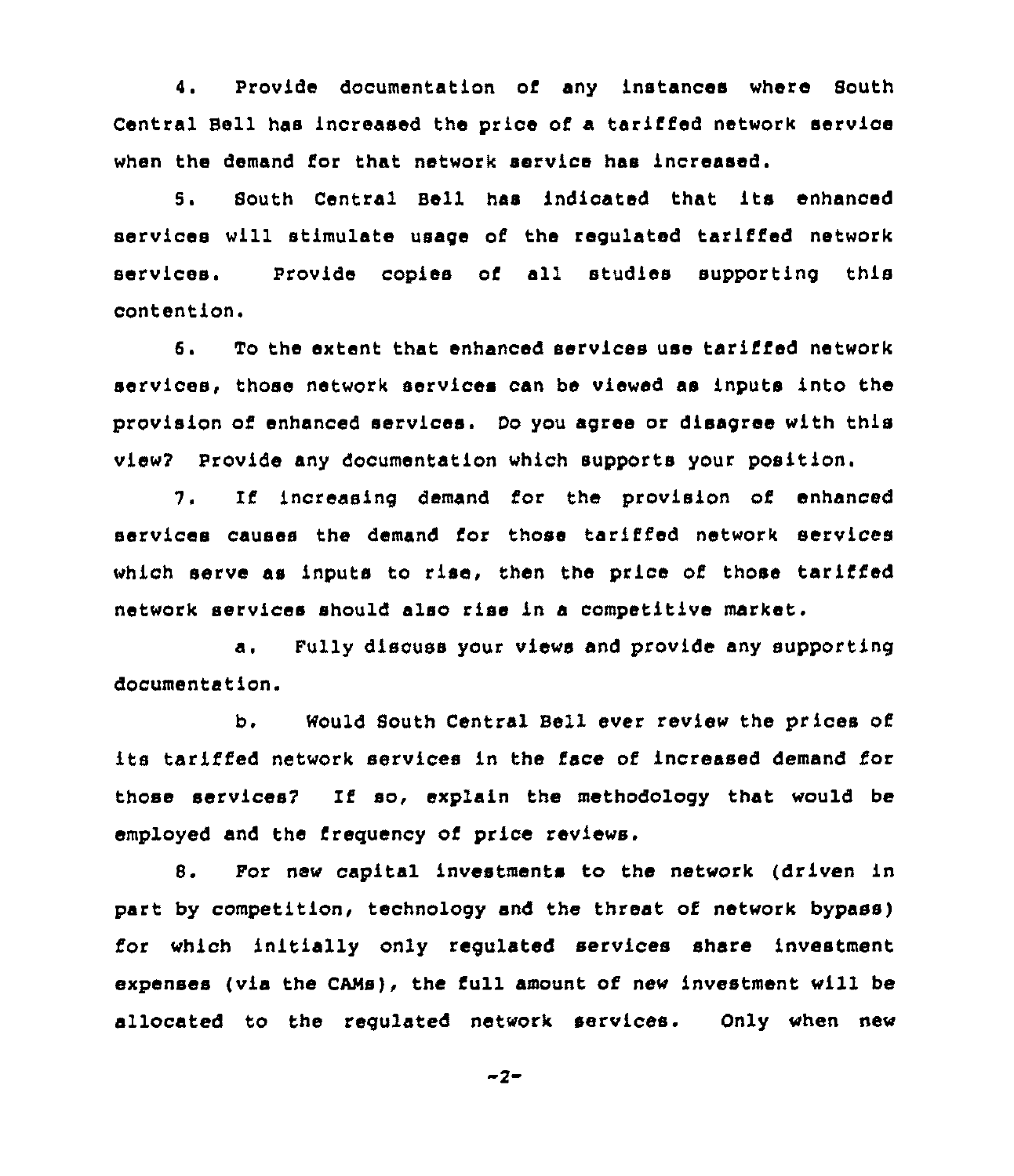4. Provide documentation of any instances where South Central Bell has increased the price of a tariffed network service when the demand for that network service has increased.

5. South Central Bell has indicated that its enhanced services will stimulate usage of the regulated tariffed network services. Provide copies of all studies supporting this contention.

6. To the extent that enhanced services use tariffed network services, those network services can be viewed as inputs into the provision of enhanced services. Do you agree or disagree with this view7 Provide any documentation which supports your position.

7. If increasing demand for the provision of enhanced services causes the demand for those tariffed network services which serve as inputs to rise, then the price of those tariffed network services should also rise in a competitive market.

a. Fully discuss your views and provide any supporting documentation.

b. Mould South Central Bell ever review the prices of its tariffed network services in the face of increased demand for those services7 If so, explain the methodology that would be employed and the frequency of price reviews.

8. For new capital investments to the network (driven in part by competition, technology snd the threat of network bypass) for which initially only regulated services share investment expenses (via the CAMs), the full amount of new investment will be allocated to the regulated network services. Only when new

 $-2-$